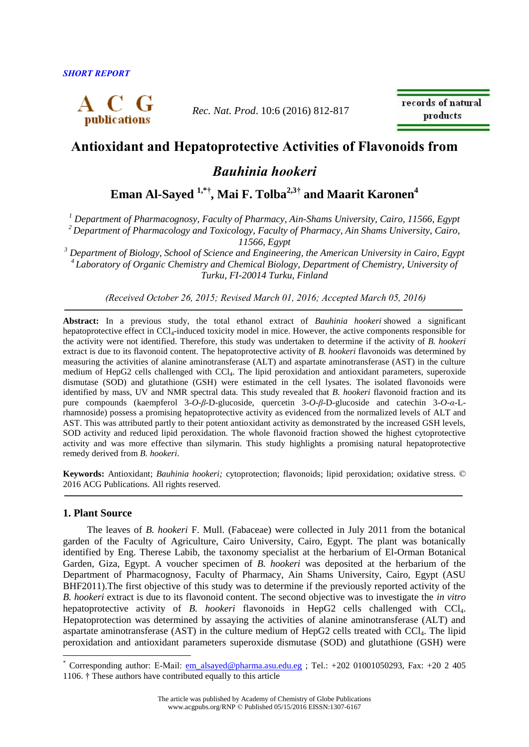

*Rec. Nat. Prod*. 10:6 (2016) 812-817

records of natural products

# **Antioxidant and Hepatoprotective Activities of Flavonoids from**

# *Bauhinia hookeri*

**Eman Al-Sayed 1,\*† , Mai F. Tolba2,3† and Maarit Karonen<sup>4</sup>**

*<sup>1</sup> Department of Pharmacognosy, Faculty of Pharmacy, Ain-Shams University, Cairo, 11566, Egypt <sup>2</sup>Department of Pharmacology and Toxicology, Faculty of Pharmacy, Ain Shams University, Cairo,* 

*11566, Egypt*

*<sup>3</sup> Department of Biology, School of Science and Engineering, the American University in Cairo, Egypt <sup>4</sup>Laboratory of Organic Chemistry and Chemical Biology, Department of Chemistry, University of Turku, FI-20014 Turku, Finland*

*(Received October 26, 2015; Revised March 01, 2016; Accepted March 05, 2016)*

**Abstract:** In a previous study, the total ethanol extract of *Bauhinia hookeri* showed a significant hepatoprotective effect in CCl<sub>4</sub>-induced toxicity model in mice. However, the active components responsible for the activity were not identified. Therefore, this study was undertaken to determine if the activity of *B. hookeri* extract is due to its flavonoid content. The hepatoprotective activity of *B. hookeri* flavonoids was determined by measuring the activities of alanine aminotransferase (ALT) and aspartate aminotransferase (AST) in the culture medium of HepG2 cells challenged with CCl4. The lipid peroxidation and antioxidant parameters, superoxide dismutase (SOD) and glutathione (GSH) were estimated in the cell lysates. The isolated flavonoids were identified by mass, UV and NMR spectral data. This study revealed that *B. hookeri* flavonoid fraction and its pure compounds (kaempferol 3-*O*-*β*-D-glucoside, quercetin 3-*O*-*β*-D-glucoside and catechin 3-*O*-*α*-Lrhamnoside) possess a promising hepatoprotective activity as evidenced from the normalized levels of ALT and AST. This was attributed partly to their potent antioxidant activity as demonstrated by the increased GSH levels, SOD activity and reduced lipid peroxidation. The whole flavonoid fraction showed the highest cytoprotective activity and was more effective than silymarin. This study highlights a promising natural hepatoprotective remedy derived from *B. hookeri*.

**Keywords:** Antioxidant; *Bauhinia hookeri;* cytoprotection; flavonoids; lipid peroxidation; oxidative stress. © 2016 ACG Publications. All rights reserved.

## **1. Plant Source**

 $\overline{a}$ 

The leaves of *B. hookeri* F. Mull. (Fabaceae) were collected in July 2011 from the botanical garden of the Faculty of Agriculture, Cairo University, Cairo, Egypt. The plant was botanically identified by Eng. Therese Labib, the taxonomy specialist at the herbarium of El**-**Orman Botanical Garden, Giza, Egypt. A voucher specimen of *B. hookeri* was deposited at the herbarium of the Department of Pharmacognosy, Faculty of Pharmacy, Ain Shams University, Cairo, Egypt (ASU BHF2011).The first objective of this study was to determine if the previously reported activity of the *B. hookeri* extract is due to its flavonoid content. The second objective was to investigate the *in vitro* hepatoprotective activity of *B. hookeri* flavonoids in HepG2 cells challenged with CCl<sub>4</sub>. Hepatoprotection was determined by assaying the activities of alanine aminotransferase (ALT) and aspartate aminotransferase (AST) in the culture medium of HepG2 cells treated with CCl4. The lipid peroxidation and antioxidant parameters superoxide dismutase (SOD) and glutathione (GSH) were

 $*$  Corresponding author: E-Mail: [em\\_alsayed@pharma.asu.edu.eg](mailto:em_alsayed@pharma.asu.edu.eg) ; Tel.: +202 01001050293, Fax: +20 2 405 1106. † These authors have contributed equally to this article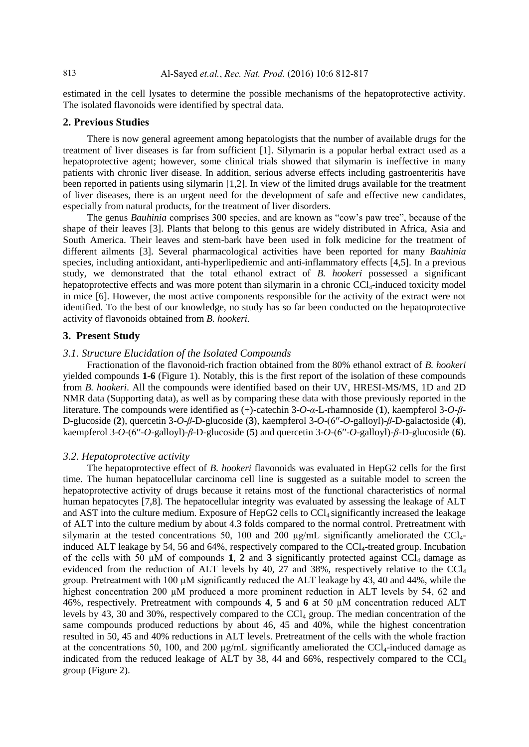estimated in the cell lysates to determine the possible mechanisms of the hepatoprotective activity. The isolated flavonoids were identified by spectral data.

### **2. Previous Studies**

There is now general agreement among hepatologists that the number of available drugs for the treatment of liver diseases is far from sufficient [\[1\]](#page-5-0). Silymarin is a popular herbal extract used as a hepatoprotective agent; however, some clinical trials showed that silymarin is ineffective in many patients with chronic liver disease. In addition, serious adverse effects including gastroenteritis have been reported in patients using silymarin [\[1](#page-5-0)[,2\]](#page-5-1). In view of the limited drugs available for the treatment of liver diseases, there is an urgent need for the development of safe and effective new candidates, especially from natural products, for the treatment of liver disorders.

The genus *Bauhinia* comprises 300 species, and are known as "cow's paw tree", because of the shape of their leaves [\[3\]](#page-5-2). Plants that belong to this genus are widely distributed in Africa, Asia and South America. Their leaves and stem-bark have been used in folk medicine for the treatment of different ailments [\[3\]](#page-5-2). Several pharmacological activities have been reported for many *Bauhinia* species, including antioxidant, anti-hyperlipediemic and anti-inflammatory effects [\[4](#page-5-3)[,5\]](#page-5-4). In a previous study, we demonstrated that the total ethanol extract of *B. hookeri* possessed a significant hepatoprotective effects and was more potent than silymarin in a chronic  $\text{CCl}_4$ -induced toxicity model in mice [\[6\]](#page-5-5). However, the most active components responsible for the activity of the extract were not identified. To the best of our knowledge, no study has so far been conducted on the hepatoprotective activity of flavonoids obtained from *B. hookeri.*

#### **3. Present Study**

#### *3.1. Structure Elucidation of the Isolated Compounds*

Fractionation of the flavonoid-rich fraction obtained from the 80% ethanol extract of *B. hookeri* yielded compounds **1-6** (Figure 1). Notably, this is the first report of the isolation of these compounds from *B. hookeri*. All the compounds were identified based on their UV, HRESI-MS/MS, 1D and 2D NMR data (Supporting data), as well as by comparing these data with those previously reported in the literature. The compounds were identified as (+)-catechin 3-*O*-*α*-L-rhamnoside (**1**), kaempferol 3-*O*-*β*-D-glucoside (**2**), quercetin 3-*O*-*β*-D-glucoside (**3**), kaempferol 3-*O*-(6′′-*O*-galloyl)-*β*-D-galactoside (**4**), kaempferol 3-*O*-(6′′-*O*-galloyl)-*β*-D-glucoside (**5**) and quercetin 3-*O*-(6′′-*O*-galloyl)-*β*-D-glucoside (**6**).

#### *3.2. Hepatoprotective activity*

The hepatoprotective effect of *B. hookeri* flavonoids was evaluated in HepG2 cells for the first time. The human hepatocellular carcinoma cell line is suggested as a suitable model to screen the hepatoprotective activity of drugs because it retains most of the functional characteristics of normal human hepatocytes [\[7](#page-5-6)[,8\]](#page-5-7). The hepatocellular integrity was evaluated by assessing the leakage of ALT and AST into the culture medium. Exposure of HepG2 cells to  $CCl<sub>4</sub>$  significantly increased the leakage of ALT into the culture medium by about 4.3 folds compared to the normal control. Pretreatment with silymarin at the tested concentrations 50, 100 and 200  $\mu$ g/mL significantly ameliorated the CCl<sub>4</sub>induced ALT leakage by 54, 56 and 64%, respectively compared to the  $CCl<sub>4</sub>$ -treated group. Incubation of the cells with 50  $\mu$ M of compounds 1, 2 and 3 significantly protected against CCl<sub>4</sub> damage as evidenced from the reduction of ALT levels by 40, 27 and 38%, respectively relative to the CCL group. Pretreatment with 100 µM significantly reduced the ALT leakage by 43, 40 and 44%, while the highest concentration 200 µM produced a more prominent reduction in ALT levels by 54, 62 and 46%, respectively. Pretreatment with compounds **4**, **5** and **6** at 50 µM concentration reduced ALT levels by 43, 30 and 30%, respectively compared to the  $CCl<sub>4</sub>$  group. The median concentration of the same compounds produced reductions by about 46, 45 and 40%, while the highest concentration resulted in 50, 45 and 40% reductions in ALT levels. Pretreatment of the cells with the whole fraction at the concentrations 50, 100, and 200  $\mu$ g/mL significantly ameliorated the CCL<sub>1</sub>-induced damage as indicated from the reduced leakage of ALT by 38, 44 and 66%, respectively compared to the  $\text{CCl}_4$ group (Figure 2).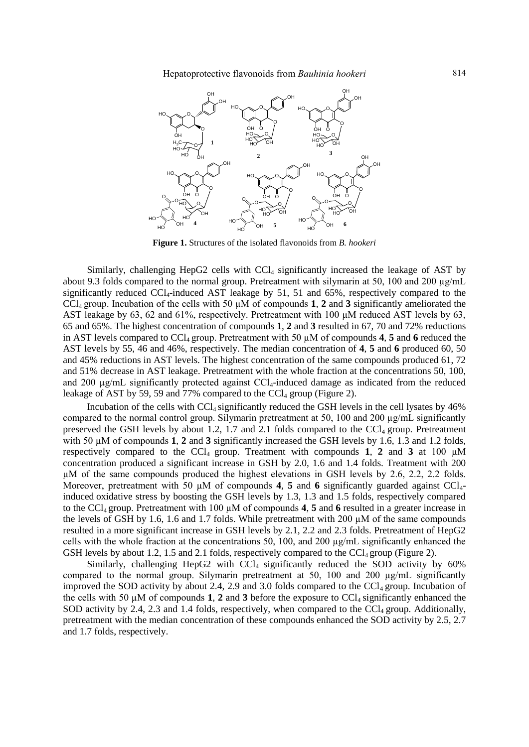Hepatoprotective flavonoids from *Bauhinia hookeri* 814



**Figure 1.** Structures of the isolated flavonoids from *B. hookeri*

Similarly, challenging HepG2 cells with CCl<sub>4</sub> significantly increased the leakage of AST by about 9.3 folds compared to the normal group. Pretreatment with silymarin at 50, 100 and 200  $\mu$ g/mL significantly reduced CCl<sub>4</sub>-induced AST leakage by 51, 51 and 65%, respectively compared to the CCl4 group. Incubation of the cells with 50 µM of compounds **1**, **2** and **3** significantly ameliorated the AST leakage by 63, 62 and 61%, respectively. Pretreatment with 100  $\mu$ M reduced AST levels by 63, 65 and 65%. The highest concentration of compounds **1**, **2** and **3** resulted in 67, 70 and 72% reductions in AST levels compared to CCl<sub>4</sub> group. Pretreatment with 50  $\mu$ M of compounds 4, 5 and 6 reduced the AST levels by 55, 46 and 46%, respectively. The median concentration of **4**, **5** and **6** produced 60, 50 and 45% reductions in AST levels. The highest concentration of the same compounds produced 61, 72 and 51% decrease in AST leakage. Pretreatment with the whole fraction at the concentrations 50, 100, and 200  $\mu$ g/mL significantly protected against CCl<sub>4</sub>-induced damage as indicated from the reduced leakage of AST by 59, 59 and 77% compared to the  $CCl<sub>4</sub>$  group (Figure 2).

Incubation of the cells with  $CCl_4$  significantly reduced the GSH levels in the cell lysates by  $46\%$ compared to the normal control group. Silymarin pretreatment at 50, 100 and 200 µg/mL significantly preserved the GSH levels by about 1.2, 1.7 and 2.1 folds compared to the  $\text{CC}l_4$  group. Pretreatment with 50  $\mu$ M of compounds **1**, **2** and **3** significantly increased the GSH levels by 1.6, 1.3 and 1.2 folds, respectively compared to the CCl<sub>4</sub> group. Treatment with compounds 1, 2 and 3 at 100  $\mu$ M concentration produced a significant increase in GSH by 2.0, 1.6 and 1.4 folds. Treatment with 200 µM of the same compounds produced the highest elevations in GSH levels by 2.6, 2.2, 2.2 folds. Moreover, pretreatment with 50  $\mu$ M of compounds 4, 5 and 6 significantly guarded against CCl<sub>4</sub>induced oxidative stress by boosting the GSH levels by 1.3, 1.3 and 1.5 folds, respectively compared to the CCl4 group. Pretreatment with 100 µM of compounds **4**, **5** and **6** resulted in a greater increase in the levels of GSH by 1.6, 1.6 and 1.7 folds. While pretreatment with 200 µM of the same compounds resulted in a more significant increase in GSH levels by 2.1, 2.2 and 2.3 folds. Pretreatment of HepG2 cells with the whole fraction at the concentrations 50, 100, and 200 µg/mL significantly enhanced the GSH levels by about 1.2, 1.5 and 2.1 folds, respectively compared to the CCl<sub>4</sub> group (Figure 2).

Similarly, challenging HepG2 with  $CCl<sub>4</sub>$  significantly reduced the SOD activity by 60% compared to the normal group. Silymarin pretreatment at 50, 100 and 200  $\mu$ g/mL significantly improved the SOD activity by about 2.4, 2.9 and 3.0 folds compared to the  $\text{CCl}_4$  group. Incubation of the cells with 50  $\mu$ M of compounds **1**, **2** and **3** before the exposure to CCL significantly enhanced the SOD activity by 2.4, 2.3 and 1.4 folds, respectively, when compared to the  $\text{CCI}_4$  group. Additionally, pretreatment with the median concentration of these compounds enhanced the SOD activity by 2.5, 2.7 and 1.7 folds, respectively.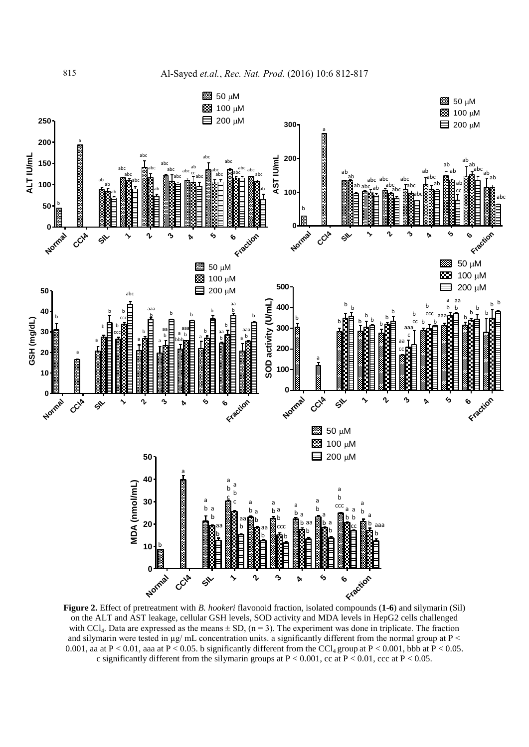

**Figure 2.** Effect of pretreatment with *B. hookeri* flavonoid fraction, isolated compounds (**1**-**6**) and silymarin (Sil) on the ALT and AST leakage, cellular GSH levels, SOD activity and MDA levels in HepG2 cells challenged with CCl<sub>4</sub>. Data are expressed as the means  $\pm$  SD, (n = 3). The experiment was done in triplicate. The fraction and silymarin were tested in  $\mu$ g/ mL concentration units. a significantly different from the normal group at P < 0.001, aa at P < 0.01, aaa at P < 0.05. b significantly different from the CCl<sub>4</sub> group at P < 0.001, bbb at P < 0.05. c significantly different from the silymarin groups at  $P < 0.001$ , cc at  $P < 0.01$ , ccc at  $P < 0.05$ .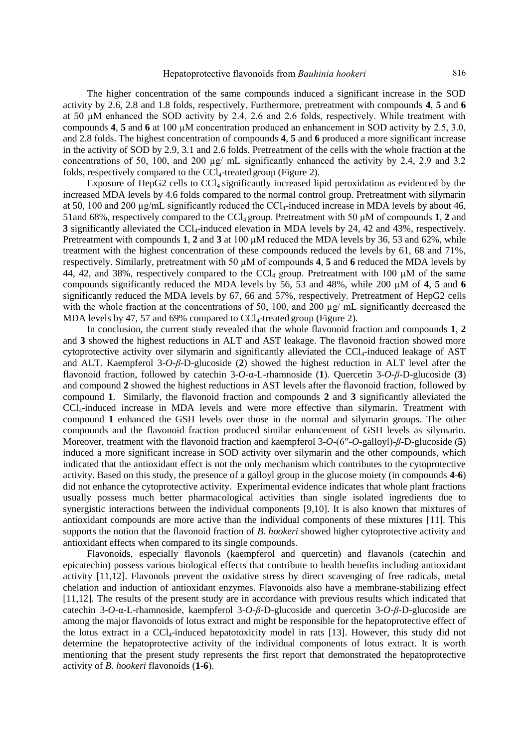The higher concentration of the same compounds induced a significant increase in the SOD activity by 2.6, 2.8 and 1.8 folds, respectively. Furthermore, pretreatment with compounds **4**, **5** and **6**  at 50 µM enhanced the SOD activity by 2.4, 2.6 and 2.6 folds, respectively. While treatment with compounds **4**, **5** and **6** at 100 µM concentration produced an enhancement in SOD activity by 2.5, 3.0, and 2.8 folds. The highest concentration of compounds **4**, **5** and **6** produced a more significant increase in the activity of SOD by 2.9, 3.1 and 2.6 folds. Pretreatment of the cells with the whole fraction at the concentrations of 50, 100, and 200 µg/ mL significantly enhanced the activity by 2.4, 2.9 and 3.2 folds, respectively compared to the  $CCl_4$ -treated group (Figure 2).

Exposure of HepG2 cells to  $CCl_4$  significantly increased lipid peroxidation as evidenced by the increased MDA levels by 4.6 folds compared to the normal control group. Pretreatment with silymarin at 50, 100 and 200  $\mu$ g/mL significantly reduced the CCl<sub>4</sub>-induced increase in MDA levels by about 46, 51and 68%, respectively compared to the CCl<sub>4</sub> group. Pretreatment with 50  $\mu$ M of compounds **1**, **2** and **3** significantly alleviated the CCl<sub>4</sub>-induced elevation in MDA levels by 24, 42 and 43%, respectively. Pretreatment with compounds **1**, **2** and **3** at 100 µM reduced the MDA levels by 36, 53 and 62%, while treatment with the highest concentration of these compounds reduced the levels by 61, 68 and 71%, respectively. Similarly, pretreatment with 50 µM of compounds **4**, **5** and **6** reduced the MDA levels by 44, 42, and 38%, respectively compared to the CCl<sub>4</sub> group. Pretreatment with 100  $\mu$ M of the same compounds significantly reduced the MDA levels by 56, 53 and 48%, while 200 µM of **4**, **5** and **6** significantly reduced the MDA levels by 67, 66 and 57%, respectively. Pretreatment of HepG2 cells with the whole fraction at the concentrations of 50, 100, and 200  $\mu$ g/ mL significantly decreased the MDA levels by 47, 57 and 69% compared to  $CCl_4$ -treated group (Figure 2).

In conclusion, the current study revealed that the whole flavonoid fraction and compounds **1**, **2** and **3** showed the highest reductions in ALT and AST leakage. The flavonoid fraction showed more cytoprotective activity over silymarin and significantly alleviated the  $CCL_1$ -induced leakage of AST and ALT. Kaempferol 3-*O*-*β*-D-glucoside (**2**) showed the highest reduction in ALT level after the flavonoid fraction, followed by catechin 3-*O*-α-L-rhamnoside (**1**). Quercetin 3-*O*-*β*-D-glucoside (**3**) and compound **2** showed the highest reductions in AST levels after the flavonoid fraction, followed by compound **1**. Similarly, the flavonoid fraction and compounds **2** and **3** significantly alleviated the CCl4-induced increase in MDA levels and were more effective than silymarin. Treatment with compound **1** enhanced the GSH levels over those in the normal and silymarin groups. The other compounds and the flavonoid fraction produced similar enhancement of GSH levels as silymarin. Moreover, treatment with the flavonoid fraction and kaempferol 3-*O*-(6′′-*O*-galloyl)-*β*-D-glucoside (**5**) induced a more significant increase in SOD activity over silymarin and the other compounds, which indicated that the antioxidant effect is not the only mechanism which contributes to the cytoprotective activity. Based on this study, the presence of a galloyl group in the glucose moiety (in compounds **4**-**6**) did not enhance the cytoprotective activity. Experimental evidence indicates that whole plant fractions usually possess much better pharmacological activities than single isolated ingredients due to synergistic interactions between the individual components [\[9](#page-5-8)[,10\]](#page-5-9). It is also known that mixtures of antioxidant compounds are more active than the individual components of these mixtures [\[11\]](#page-5-10). This supports the notion that the flavonoid fraction of *B. hookeri* showed higher cytoprotective activity and antioxidant effects when compared to its single compounds.

Flavonoids, especially flavonols (kaempferol and quercetin) and flavanols (catechin and epicatechin) possess various biological effects that contribute to health benefits including antioxidant activity [\[11](#page-5-10)[,12\]](#page-5-11). Flavonols prevent the oxidative stress by direct scavenging of free radicals, metal chelation and induction of antioxidant enzymes. Flavonoids also have a membrane-stabilizing effect [\[11](#page-5-10)[,12\]](#page-5-11). The results of the present study are in accordance with previous results which indicated that catechin 3-*O*-α-L-rhamnoside, kaempferol 3-*O*-*β*-D-glucoside and quercetin 3-*O*-*β*-D-glucoside are among the major flavonoids of lotus extract and might be responsible for the hepatoprotective effect of the lotus extract in a  $CCI<sub>4</sub>$ -induced hepatotoxicity model in rats [13]. However, this study did not determine the hepatoprotective activity of the individual components of lotus extract. It is worth mentioning that the present study represents the first report that demonstrated the hepatoprotective activity of *B. hookeri* flavonoids (**1**-**6**).